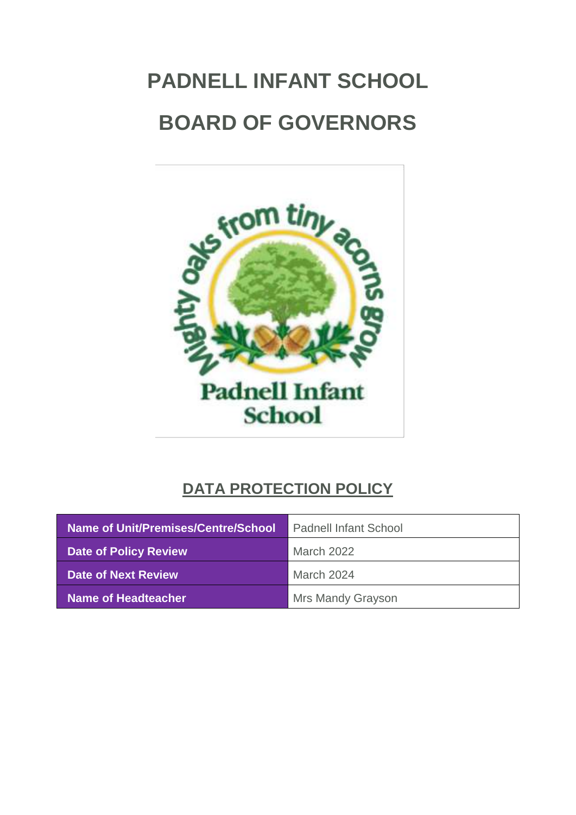# **PADNELL INFANT SCHOOL BOARD OF GOVERNORS**



## **DATA PROTECTION POLICY**

| Name of Unit/Premises/Centre/School | <b>Padnell Infant School</b> |
|-------------------------------------|------------------------------|
| <b>Date of Policy Review</b>        | <b>March 2022</b>            |
| Date of Next Review                 | March 2024                   |
| <b>Name of Headteacher</b>          | Mrs Mandy Grayson            |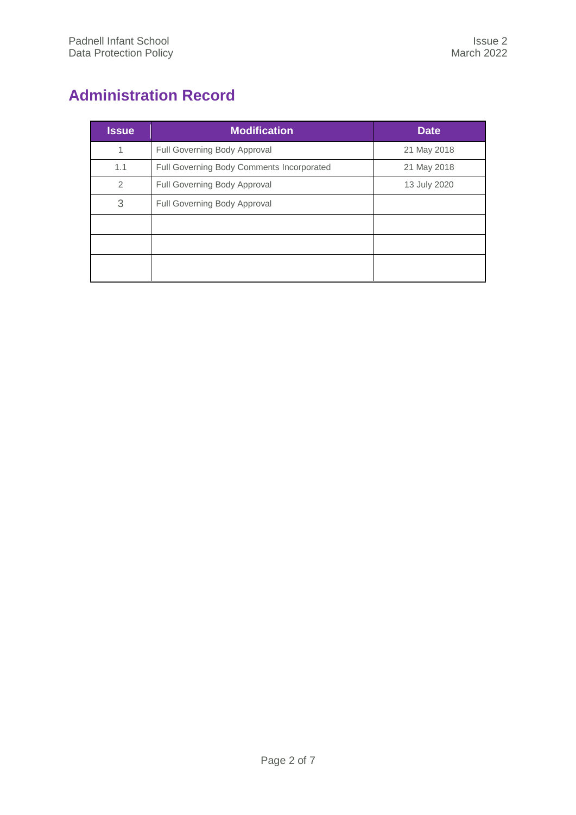## <span id="page-1-0"></span>**Administration Record**

| <b>Issue</b>  | <b>Modification</b>                       | <b>Date</b>  |
|---------------|-------------------------------------------|--------------|
| 1             | Full Governing Body Approval              | 21 May 2018  |
| 1.1           | Full Governing Body Comments Incorporated | 21 May 2018  |
| $\mathcal{P}$ | Full Governing Body Approval              | 13 July 2020 |
| 3             | Full Governing Body Approval              |              |
|               |                                           |              |
|               |                                           |              |
|               |                                           |              |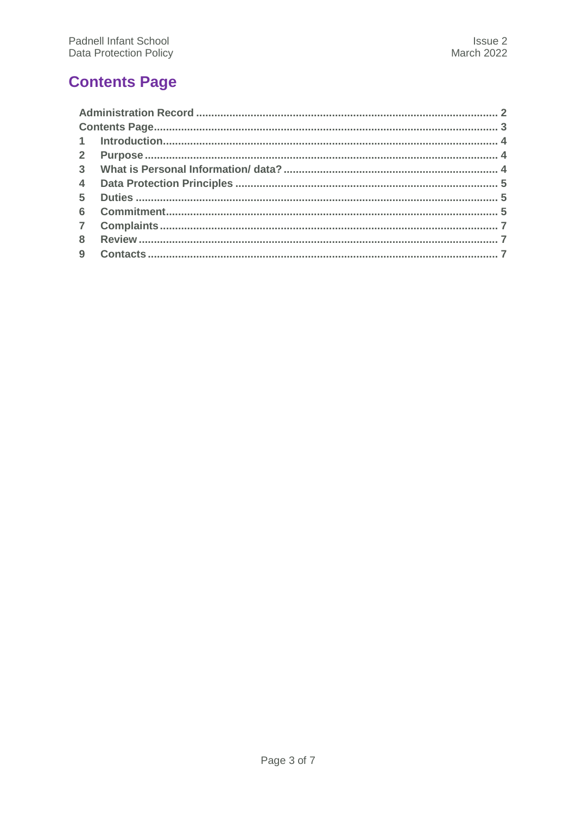## <span id="page-2-0"></span>**Contents Page**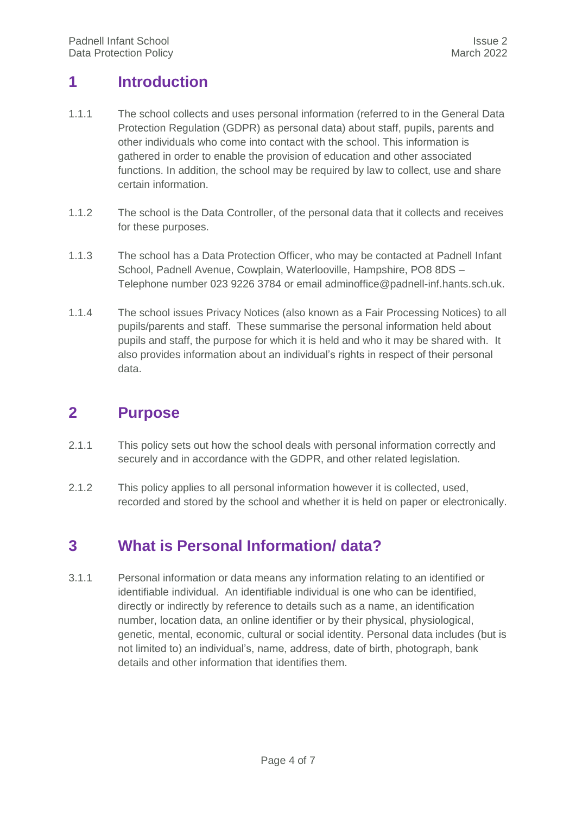#### <span id="page-3-0"></span>**1 Introduction**

- 1.1.1 The school collects and uses personal information (referred to in the General Data Protection Regulation (GDPR) as personal data) about staff, pupils, parents and other individuals who come into contact with the school. This information is gathered in order to enable the provision of education and other associated functions. In addition, the school may be required by law to collect, use and share certain information.
- 1.1.2 The school is the Data Controller, of the personal data that it collects and receives for these purposes.
- 1.1.3 The school has a Data Protection Officer, who may be contacted at Padnell Infant School, Padnell Avenue, Cowplain, Waterlooville, Hampshire, PO8 8DS – Telephone number 023 9226 3784 or email adminoffice@padnell-inf.hants.sch.uk.
- 1.1.4 The school issues Privacy Notices (also known as a Fair Processing Notices) to all pupils/parents and staff. These summarise the personal information held about pupils and staff, the purpose for which it is held and who it may be shared with. It also provides information about an individual's rights in respect of their personal data.

#### <span id="page-3-1"></span>**2 Purpose**

- 2.1.1 This policy sets out how the school deals with personal information correctly and securely and in accordance with the GDPR, and other related legislation.
- 2.1.2 This policy applies to all personal information however it is collected, used, recorded and stored by the school and whether it is held on paper or electronically.

#### <span id="page-3-2"></span>**3 What is Personal Information/ data?**

3.1.1 Personal information or data means any information relating to an identified or identifiable individual. An identifiable individual is one who can be identified, directly or indirectly by reference to details such as a name, an identification number, location data, an online identifier or by their physical, physiological, genetic, mental, economic, cultural or social identity. Personal data includes (but is not limited to) an individual's, name, address, date of birth, photograph, bank details and other information that identifies them.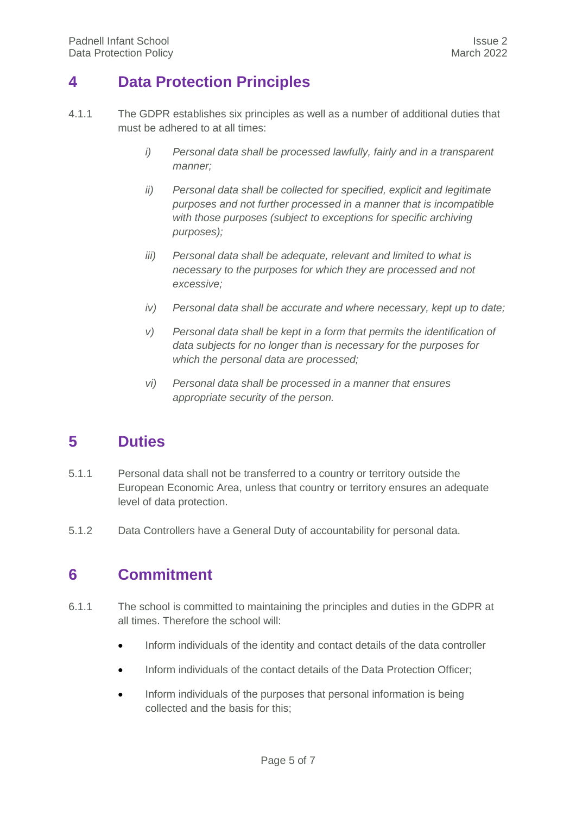#### <span id="page-4-0"></span>**4 Data Protection Principles**

- 4.1.1 The GDPR establishes six principles as well as a number of additional duties that must be adhered to at all times:
	- *i) Personal data shall be processed lawfully, fairly and in a transparent manner;*
	- *ii) Personal data shall be collected for specified, explicit and legitimate purposes and not further processed in a manner that is incompatible with those purposes (subject to exceptions for specific archiving purposes);*
	- *iii) Personal data shall be adequate, relevant and limited to what is necessary to the purposes for which they are processed and not excessive;*
	- *iv) Personal data shall be accurate and where necessary, kept up to date;*
	- *v) Personal data shall be kept in a form that permits the identification of data subjects for no longer than is necessary for the purposes for which the personal data are processed;*
	- *vi) Personal data shall be processed in a manner that ensures appropriate security of the person.*

#### <span id="page-4-1"></span>**5 Duties**

- 5.1.1 Personal data shall not be transferred to a country or territory outside the European Economic Area, unless that country or territory ensures an adequate level of data protection.
- <span id="page-4-2"></span>5.1.2 Data Controllers have a General Duty of accountability for personal data.

#### **6 Commitment**

- 6.1.1 The school is committed to maintaining the principles and duties in the GDPR at all times. Therefore the school will:
	- Inform individuals of the identity and contact details of the data controller
	- Inform individuals of the contact details of the Data Protection Officer;
	- Inform individuals of the purposes that personal information is being collected and the basis for this;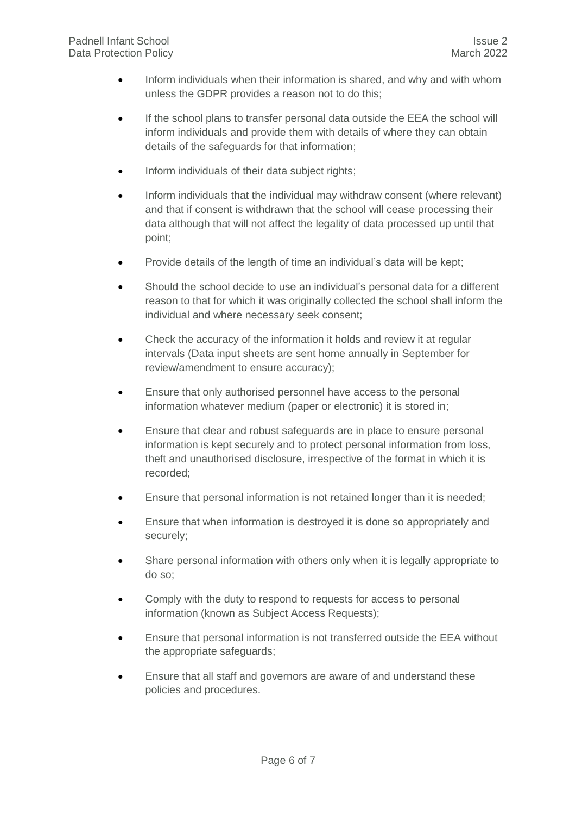- Inform individuals when their information is shared, and why and with whom unless the GDPR provides a reason not to do this;
- If the school plans to transfer personal data outside the EEA the school will inform individuals and provide them with details of where they can obtain details of the safeguards for that information;
- Inform individuals of their data subject rights;
- Inform individuals that the individual may withdraw consent (where relevant) and that if consent is withdrawn that the school will cease processing their data although that will not affect the legality of data processed up until that point;
- Provide details of the length of time an individual's data will be kept;
- Should the school decide to use an individual's personal data for a different reason to that for which it was originally collected the school shall inform the individual and where necessary seek consent;
- Check the accuracy of the information it holds and review it at regular intervals (Data input sheets are sent home annually in September for review/amendment to ensure accuracy);
- Ensure that only authorised personnel have access to the personal information whatever medium (paper or electronic) it is stored in;
- Ensure that clear and robust safeguards are in place to ensure personal information is kept securely and to protect personal information from loss, theft and unauthorised disclosure, irrespective of the format in which it is recorded;
- Ensure that personal information is not retained longer than it is needed;
- Ensure that when information is destroyed it is done so appropriately and securely;
- Share personal information with others only when it is legally appropriate to do so;
- Comply with the duty to respond to requests for access to personal information (known as Subject Access Requests);
- Ensure that personal information is not transferred outside the EEA without the appropriate safeguards;
- Ensure that all staff and governors are aware of and understand these policies and procedures.